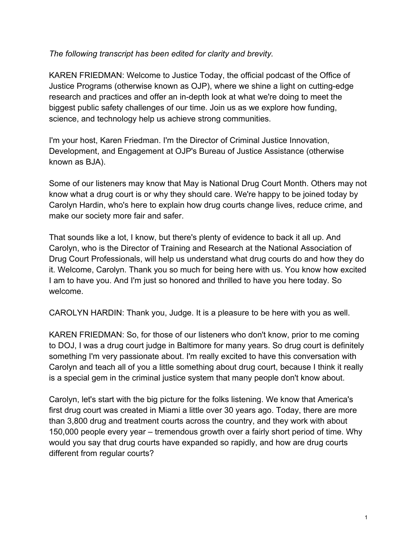## *The following transcript has been edited for clarity and brevity.*

KAREN FRIEDMAN: Welcome to Justice Today, the official podcast of the Office of Justice Programs (otherwise known as OJP), where we shine a light on cutting-edge research and practices and offer an in-depth look at what we're doing to meet the biggest public safety challenges of our time. Join us as we explore how funding, science, and technology help us achieve strong communities.

I'm your host, Karen Friedman. I'm the Director of Criminal Justice Innovation, Development, and Engagement at OJP's Bureau of Justice Assistance (otherwise known as BJA).

Some of our listeners may know that May is National Drug Court Month. Others may not know what a drug court is or why they should care. We're happy to be joined today by Carolyn Hardin, who's here to explain how drug courts change lives, reduce crime, and make our society more fair and safer.

That sounds like a lot, I know, but there's plenty of evidence to back it all up. And Carolyn, who is the Director of Training and Research at the National Association of Drug Court Professionals, will help us understand what drug courts do and how they do it. Welcome, Carolyn. Thank you so much for being here with us. You know how excited I am to have you. And I'm just so honored and thrilled to have you here today. So welcome.

CAROLYN HARDIN: Thank you, Judge. It is a pleasure to be here with you as well.

KAREN FRIEDMAN: So, for those of our listeners who don't know, prior to me coming to DOJ, I was a drug court judge in Baltimore for many years. So drug court is definitely something I'm very passionate about. I'm really excited to have this conversation with Carolyn and teach all of you a little something about drug court, because I think it really is a special gem in the criminal justice system that many people don't know about.

Carolyn, let's start with the big picture for the folks listening. We know that America's first drug court was created in Miami a little over 30 years ago. Today, there are more than 3,800 drug and treatment courts across the country, and they work with about 150,000 people every year – tremendous growth over a fairly short period of time. Why would you say that drug courts have expanded so rapidly, and how are drug courts different from regular courts?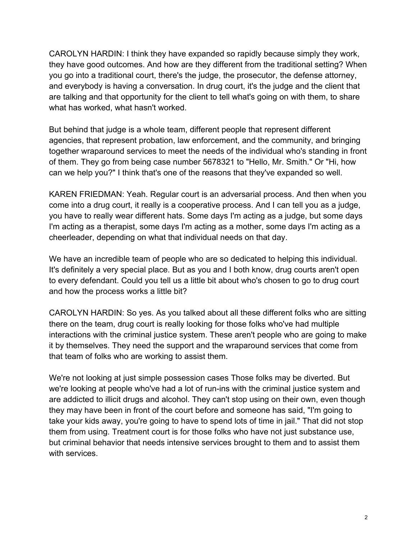CAROLYN HARDIN: I think they have expanded so rapidly because simply they work, they have good outcomes. And how are they different from the traditional setting? When you go into a traditional court, there's the judge, the prosecutor, the defense attorney, and everybody is having a conversation. In drug court, it's the judge and the client that are talking and that opportunity for the client to tell what's going on with them, to share what has worked, what hasn't worked.

But behind that judge is a whole team, different people that represent different agencies, that represent probation, law enforcement, and the community, and bringing together wraparound services to meet the needs of the individual who's standing in front of them. They go from being case number 5678321 to "Hello, Mr. Smith." Or "Hi, how can we help you?" I think that's one of the reasons that they've expanded so well.

KAREN FRIEDMAN: Yeah. Regular court is an adversarial process. And then when you come into a drug court, it really is a cooperative process. And I can tell you as a judge, you have to really wear different hats. Some days I'm acting as a judge, but some days I'm acting as a therapist, some days I'm acting as a mother, some days I'm acting as a cheerleader, depending on what that individual needs on that day.

We have an incredible team of people who are so dedicated to helping this individual. It's definitely a very special place. But as you and I both know, drug courts aren't open to every defendant. Could you tell us a little bit about who's chosen to go to drug court and how the process works a little bit?

CAROLYN HARDIN: So yes. As you talked about all these different folks who are sitting there on the team, drug court is really looking for those folks who've had multiple interactions with the criminal justice system. These aren't people who are going to make it by themselves. They need the support and the wraparound services that come from that team of folks who are working to assist them.

We're not looking at just simple possession cases Those folks may be diverted. But we're looking at people who've had a lot of run-ins with the criminal justice system and are addicted to illicit drugs and alcohol. They can't stop using on their own, even though they may have been in front of the court before and someone has said, "I'm going to take your kids away, you're going to have to spend lots of time in jail." That did not stop them from using. Treatment court is for those folks who have not just substance use, but criminal behavior that needs intensive services brought to them and to assist them with services.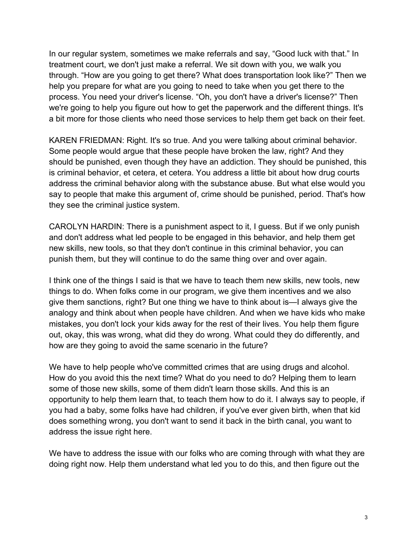In our regular system, sometimes we make referrals and say, "Good luck with that." In treatment court, we don't just make a referral. We sit down with you, we walk you through. "How are you going to get there? What does transportation look like?" Then we help you prepare for what are you going to need to take when you get there to the process. You need your driver's license. "Oh, you don't have a driver's license?" Then we're going to help you figure out how to get the paperwork and the different things. It's a bit more for those clients who need those services to help them get back on their feet.

KAREN FRIEDMAN: Right. It's so true. And you were talking about criminal behavior. Some people would argue that these people have broken the law, right? And they should be punished, even though they have an addiction. They should be punished, this is criminal behavior, et cetera, et cetera. You address a little bit about how drug courts address the criminal behavior along with the substance abuse. But what else would you say to people that make this argument of, crime should be punished, period. That's how they see the criminal justice system.

CAROLYN HARDIN: There is a punishment aspect to it, I guess. But if we only punish and don't address what led people to be engaged in this behavior, and help them get new skills, new tools, so that they don't continue in this criminal behavior, you can punish them, but they will continue to do the same thing over and over again.

I think one of the things I said is that we have to teach them new skills, new tools, new things to do. When folks come in our program, we give them incentives and we also give them sanctions, right? But one thing we have to think about is—I always give the analogy and think about when people have children. And when we have kids who make mistakes, you don't lock your kids away for the rest of their lives. You help them figure out, okay, this was wrong, what did they do wrong. What could they do differently, and how are they going to avoid the same scenario in the future?

We have to help people who've committed crimes that are using drugs and alcohol. How do you avoid this the next time? What do you need to do? Helping them to learn some of those new skills, some of them didn't learn those skills. And this is an opportunity to help them learn that, to teach them how to do it. I always say to people, if you had a baby, some folks have had children, if you've ever given birth, when that kid does something wrong, you don't want to send it back in the birth canal, you want to address the issue right here.

We have to address the issue with our folks who are coming through with what they are doing right now. Help them understand what led you to do this, and then figure out the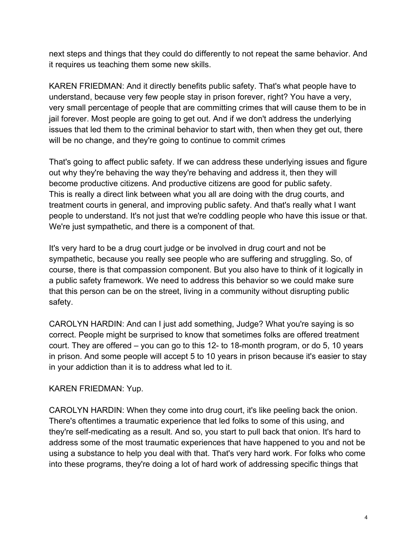next steps and things that they could do differently to not repeat the same behavior. And it requires us teaching them some new skills.

KAREN FRIEDMAN: And it directly benefits public safety. That's what people have to understand, because very few people stay in prison forever, right? You have a very, very small percentage of people that are committing crimes that will cause them to be in jail forever. Most people are going to get out. And if we don't address the underlying issues that led them to the criminal behavior to start with, then when they get out, there will be no change, and they're going to continue to commit crimes

That's going to affect public safety. If we can address these underlying issues and figure out why they're behaving the way they're behaving and address it, then they will become productive citizens. And productive citizens are good for public safety. This is really a direct link between what you all are doing with the drug courts, and treatment courts in general, and improving public safety. And that's really what I want people to understand. It's not just that we're coddling people who have this issue or that. We're just sympathetic, and there is a component of that.

It's very hard to be a drug court judge or be involved in drug court and not be sympathetic, because you really see people who are suffering and struggling. So, of course, there is that compassion component. But you also have to think of it logically in a public safety framework. We need to address this behavior so we could make sure that this person can be on the street, living in a community without disrupting public safety.

CAROLYN HARDIN: And can I just add something, Judge? What you're saying is so correct. People might be surprised to know that sometimes folks are offered treatment court. They are offered – you can go to this 12- to 18-month program, or do 5, 10 years in prison. And some people will accept 5 to 10 years in prison because it's easier to stay in your addiction than it is to address what led to it.

## KAREN FRIEDMAN: Yup.

CAROLYN HARDIN: When they come into drug court, it's like peeling back the onion. There's oftentimes a traumatic experience that led folks to some of this using, and they're self-medicating as a result. And so, you start to pull back that onion. It's hard to address some of the most traumatic experiences that have happened to you and not be using a substance to help you deal with that. That's very hard work. For folks who come into these programs, they're doing a lot of hard work of addressing specific things that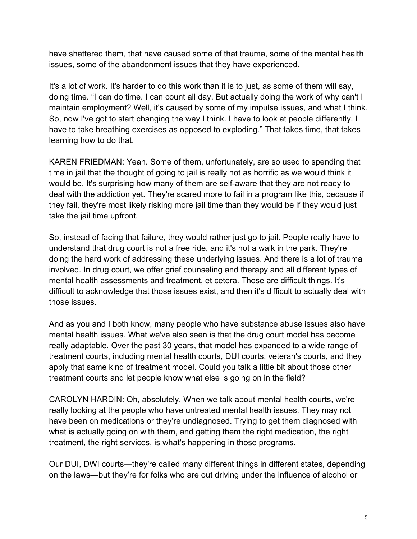have shattered them, that have caused some of that trauma, some of the mental health issues, some of the abandonment issues that they have experienced.

It's a lot of work. It's harder to do this work than it is to just, as some of them will say, doing time. "I can do time. I can count all day. But actually doing the work of why can't I maintain employment? Well, it's caused by some of my impulse issues, and what I think. So, now I've got to start changing the way I think. I have to look at people differently. I have to take breathing exercises as opposed to exploding." That takes time, that takes learning how to do that.

KAREN FRIEDMAN: Yeah. Some of them, unfortunately, are so used to spending that time in jail that the thought of going to jail is really not as horrific as we would think it would be. It's surprising how many of them are self-aware that they are not ready to deal with the addiction yet. They're scared more to fail in a program like this, because if they fail, they're most likely risking more jail time than they would be if they would just take the jail time upfront.

So, instead of facing that failure, they would rather just go to jail. People really have to understand that drug court is not a free ride, and it's not a walk in the park. They're doing the hard work of addressing these underlying issues. And there is a lot of trauma involved. In drug court, we offer grief counseling and therapy and all different types of mental health assessments and treatment, et cetera. Those are difficult things. It's difficult to acknowledge that those issues exist, and then it's difficult to actually deal with those issues.

And as you and I both know, many people who have substance abuse issues also have mental health issues. What we've also seen is that the drug court model has become really adaptable. Over the past 30 years, that model has expanded to a wide range of treatment courts, including mental health courts, DUI courts, veteran's courts, and they apply that same kind of treatment model. Could you talk a little bit about those other treatment courts and let people know what else is going on in the field?

CAROLYN HARDIN: Oh, absolutely. When we talk about mental health courts, we're really looking at the people who have untreated mental health issues. They may not have been on medications or they're undiagnosed. Trying to get them diagnosed with what is actually going on with them, and getting them the right medication, the right treatment, the right services, is what's happening in those programs.

Our DUI, DWI courts—they're called many different things in different states, depending on the laws—but they're for folks who are out driving under the influence of alcohol or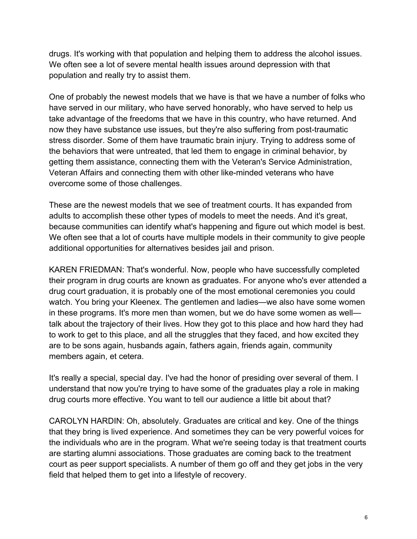drugs. It's working with that population and helping them to address the alcohol issues. We often see a lot of severe mental health issues around depression with that population and really try to assist them.

One of probably the newest models that we have is that we have a number of folks who have served in our military, who have served honorably, who have served to help us take advantage of the freedoms that we have in this country, who have returned. And now they have substance use issues, but they're also suffering from post-traumatic stress disorder. Some of them have traumatic brain injury. Trying to address some of the behaviors that were untreated, that led them to engage in criminal behavior, by getting them assistance, connecting them with the Veteran's Service Administration, Veteran Affairs and connecting them with other like-minded veterans who have overcome some of those challenges.

These are the newest models that we see of treatment courts. It has expanded from adults to accomplish these other types of models to meet the needs. And it's great, because communities can identify what's happening and figure out which model is best. We often see that a lot of courts have multiple models in their community to give people additional opportunities for alternatives besides jail and prison.

KAREN FRIEDMAN: That's wonderful. Now, people who have successfully completed their program in drug courts are known as graduates. For anyone who's ever attended a drug court graduation, it is probably one of the most emotional ceremonies you could watch. You bring your Kleenex. The gentlemen and ladies—we also have some women in these programs. It's more men than women, but we do have some women as well talk about the trajectory of their lives. How they got to this place and how hard they had to work to get to this place, and all the struggles that they faced, and how excited they are to be sons again, husbands again, fathers again, friends again, community members again, et cetera.

It's really a special, special day. I've had the honor of presiding over several of them. I understand that now you're trying to have some of the graduates play a role in making drug courts more effective. You want to tell our audience a little bit about that?

CAROLYN HARDIN: Oh, absolutely. Graduates are critical and key. One of the things that they bring is lived experience. And sometimes they can be very powerful voices for the individuals who are in the program. What we're seeing today is that treatment courts are starting alumni associations. Those graduates are coming back to the treatment court as peer support specialists. A number of them go off and they get jobs in the very field that helped them to get into a lifestyle of recovery.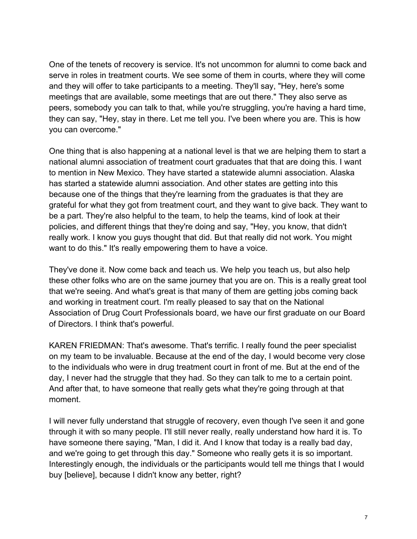One of the tenets of recovery is service. It's not uncommon for alumni to come back and serve in roles in treatment courts. We see some of them in courts, where they will come and they will offer to take participants to a meeting. They'll say, "Hey, here's some meetings that are available, some meetings that are out there." They also serve as peers, somebody you can talk to that, while you're struggling, you're having a hard time, they can say, "Hey, stay in there. Let me tell you. I've been where you are. This is how you can overcome."

One thing that is also happening at a national level is that we are helping them to start a national alumni association of treatment court graduates that that are doing this. I want to mention in New Mexico. They have started a statewide alumni association. Alaska has started a statewide alumni association. And other states are getting into this because one of the things that they're learning from the graduates is that they are grateful for what they got from treatment court, and they want to give back. They want to be a part. They're also helpful to the team, to help the teams, kind of look at their policies, and different things that they're doing and say, "Hey, you know, that didn't really work. I know you guys thought that did. But that really did not work. You might want to do this." It's really empowering them to have a voice.

They've done it. Now come back and teach us. We help you teach us, but also help these other folks who are on the same journey that you are on. This is a really great tool that we're seeing. And what's great is that many of them are getting jobs coming back and working in treatment court. I'm really pleased to say that on the National Association of Drug Court Professionals board, we have our first graduate on our Board of Directors. I think that's powerful.

KAREN FRIEDMAN: That's awesome. That's terrific. I really found the peer specialist on my team to be invaluable. Because at the end of the day, I would become very close to the individuals who were in drug treatment court in front of me. But at the end of the day, I never had the struggle that they had. So they can talk to me to a certain point. And after that, to have someone that really gets what they're going through at that moment.

I will never fully understand that struggle of recovery, even though I've seen it and gone through it with so many people. I'll still never really, really understand how hard it is. To have someone there saying, "Man, I did it. And I know that today is a really bad day, and we're going to get through this day." Someone who really gets it is so important. Interestingly enough, the individuals or the participants would tell me things that I would buy [believe], because I didn't know any better, right?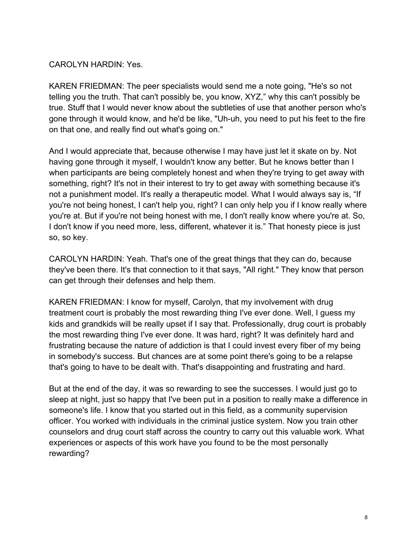## CAROLYN HARDIN: Yes.

KAREN FRIEDMAN: The peer specialists would send me a note going, "He's so not telling you the truth. That can't possibly be, you know, XYZ," why this can't possibly be true. Stuff that I would never know about the subtleties of use that another person who's gone through it would know, and he'd be like, "Uh-uh, you need to put his feet to the fire on that one, and really find out what's going on."

And I would appreciate that, because otherwise I may have just let it skate on by. Not having gone through it myself, I wouldn't know any better. But he knows better than I when participants are being completely honest and when they're trying to get away with something, right? It's not in their interest to try to get away with something because it's not a punishment model. It's really a therapeutic model. What I would always say is, "If you're not being honest, I can't help you, right? I can only help you if I know really where you're at. But if you're not being honest with me, I don't really know where you're at. So, I don't know if you need more, less, different, whatever it is." That honesty piece is just so, so key.

CAROLYN HARDIN: Yeah. That's one of the great things that they can do, because they've been there. It's that connection to it that says, "All right." They know that person can get through their defenses and help them.

KAREN FRIEDMAN: I know for myself, Carolyn, that my involvement with drug treatment court is probably the most rewarding thing I've ever done. Well, I guess my kids and grandkids will be really upset if I say that. Professionally, drug court is probably the most rewarding thing I've ever done. It was hard, right? It was definitely hard and frustrating because the nature of addiction is that I could invest every fiber of my being in somebody's success. But chances are at some point there's going to be a relapse that's going to have to be dealt with. That's disappointing and frustrating and hard.

But at the end of the day, it was so rewarding to see the successes. I would just go to sleep at night, just so happy that I've been put in a position to really make a difference in someone's life. I know that you started out in this field, as a community supervision officer. You worked with individuals in the criminal justice system. Now you train other counselors and drug court staff across the country to carry out this valuable work. What experiences or aspects of this work have you found to be the most personally rewarding?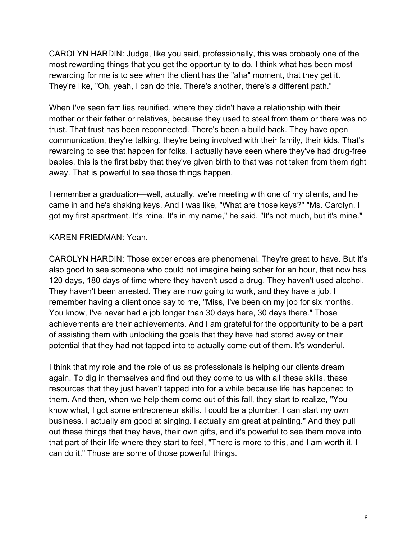CAROLYN HARDIN: Judge, like you said, professionally, this was probably one of the most rewarding things that you get the opportunity to do. I think what has been most rewarding for me is to see when the client has the "aha" moment, that they get it. They're like, "Oh, yeah, I can do this. There's another, there's a different path."

When I've seen families reunified, where they didn't have a relationship with their mother or their father or relatives, because they used to steal from them or there was no trust. That trust has been reconnected. There's been a build back. They have open communication, they're talking, they're being involved with their family, their kids. That's rewarding to see that happen for folks. I actually have seen where they've had drug-free babies, this is the first baby that they've given birth to that was not taken from them right away. That is powerful to see those things happen.

I remember a graduation—well, actually, we're meeting with one of my clients, and he came in and he's shaking keys. And I was like, "What are those keys?" "Ms. Carolyn, I got my first apartment. It's mine. It's in my name," he said. "It's not much, but it's mine."

## KAREN FRIEDMAN: Yeah.

CAROLYN HARDIN: Those experiences are phenomenal. They're great to have. But it's also good to see someone who could not imagine being sober for an hour, that now has 120 days, 180 days of time where they haven't used a drug. They haven't used alcohol. They haven't been arrested. They are now going to work, and they have a job. I remember having a client once say to me, "Miss, I've been on my job for six months. You know, I've never had a job longer than 30 days here, 30 days there." Those achievements are their achievements. And I am grateful for the opportunity to be a part of assisting them with unlocking the goals that they have had stored away or their potential that they had not tapped into to actually come out of them. It's wonderful.

I think that my role and the role of us as professionals is helping our clients dream again. To dig in themselves and find out they come to us with all these skills, these resources that they just haven't tapped into for a while because life has happened to them. And then, when we help them come out of this fall, they start to realize, "You know what, I got some entrepreneur skills. I could be a plumber. I can start my own business. I actually am good at singing. I actually am great at painting." And they pull out these things that they have, their own gifts, and it's powerful to see them move into that part of their life where they start to feel, "There is more to this, and I am worth it. I can do it." Those are some of those powerful things.